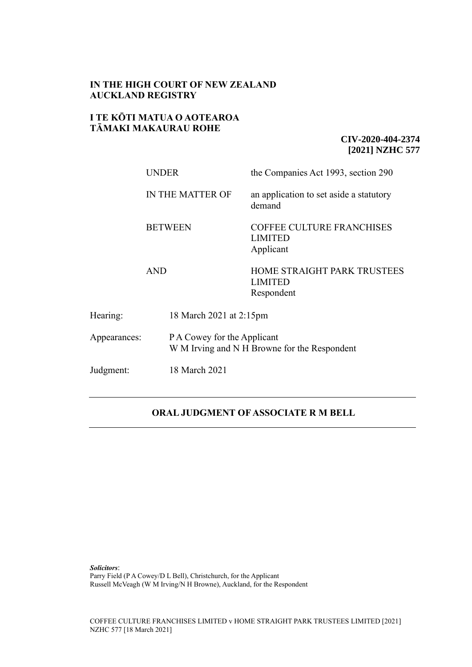## **IN THE HIGH COURT OF NEW ZEALAND AUCKLAND REGISTRY**

## **I TE KŌTI MATUA O AOTEAROA TĀMAKI MAKAURAU ROHE**

## **CIV-2020-404-2374 [2021] NZHC 577**

|              | <b>UNDER</b>     | the Companies Act 1993, section 290                                         |  |
|--------------|------------------|-----------------------------------------------------------------------------|--|
|              | IN THE MATTER OF | an application to set aside a statutory<br>demand                           |  |
|              | <b>BETWEEN</b>   | <b>COFFEE CULTURE FRANCHISES</b><br><b>LIMITED</b><br>Applicant             |  |
|              | <b>AND</b>       | HOME STRAIGHT PARK TRUSTEES<br><b>LIMITED</b><br>Respondent                 |  |
| Hearing:     |                  | 18 March 2021 at 2:15pm                                                     |  |
| Appearances: |                  | P A Cowey for the Applicant<br>W M Irving and N H Browne for the Respondent |  |
| Judgment:    | 18 March 2021    |                                                                             |  |

# **ORAL JUDGMENT OF ASSOCIATE R M BELL**

*Solicitors*: Parry Field (P A Cowey/D L Bell), Christchurch, for the Applicant Russell McVeagh (W M Irving/N H Browne), Auckland, for the Respondent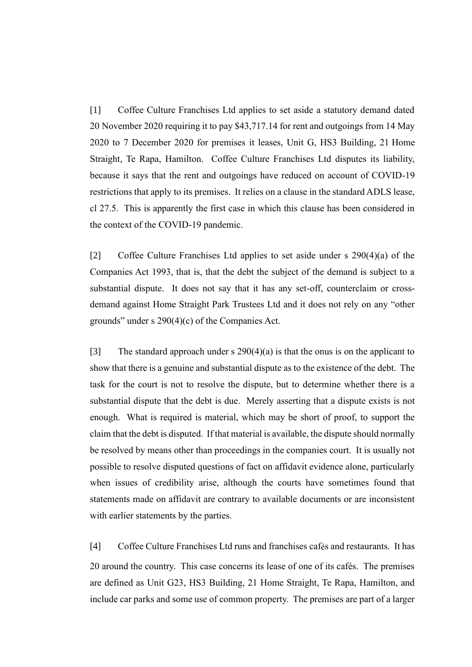[1] Coffee Culture Franchises Ltd applies to set aside a statutory demand dated 20 November 2020 requiring it to pay \$43,717.14 for rent and outgoings from 14 May 2020 to 7 December 2020 for premises it leases, Unit G, HS3 Building, 21 Home Straight, Te Rapa, Hamilton. Coffee Culture Franchises Ltd disputes its liability, because it says that the rent and outgoings have reduced on account of COVID-19 restrictions that apply to its premises. It relies on a clause in the standard ADLS lease, cl 27.5. This is apparently the first case in which this clause has been considered in the context of the COVID-19 pandemic.

[2] Coffee Culture Franchises Ltd applies to set aside under s 290(4)(a) of the Companies Act 1993, that is, that the debt the subject of the demand is subject to a substantial dispute. It does not say that it has any set-off, counterclaim or crossdemand against Home Straight Park Trustees Ltd and it does not rely on any "other grounds" under s 290(4)(c) of the Companies Act.

[3] The standard approach under s 290(4)(a) is that the onus is on the applicant to show that there is a genuine and substantial dispute as to the existence of the debt. The task for the court is not to resolve the dispute, but to determine whether there is a substantial dispute that the debt is due. Merely asserting that a dispute exists is not enough. What is required is material, which may be short of proof, to support the claim that the debt is disputed. If that material is available, the dispute should normally be resolved by means other than proceedings in the companies court. It is usually not possible to resolve disputed questions of fact on affidavit evidence alone, particularly when issues of credibility arise, although the courts have sometimes found that statements made on affidavit are contrary to available documents or are inconsistent with earlier statements by the parties.

[4] Coffee Culture Franchises Ltd runs and franchises cafés and restaurants. It has 20 around the country. This case concerns its lease of one of its cafés. The premises are defined as Unit G23, HS3 Building, 21 Home Straight, Te Rapa, Hamilton, and include car parks and some use of common property. The premises are part of a larger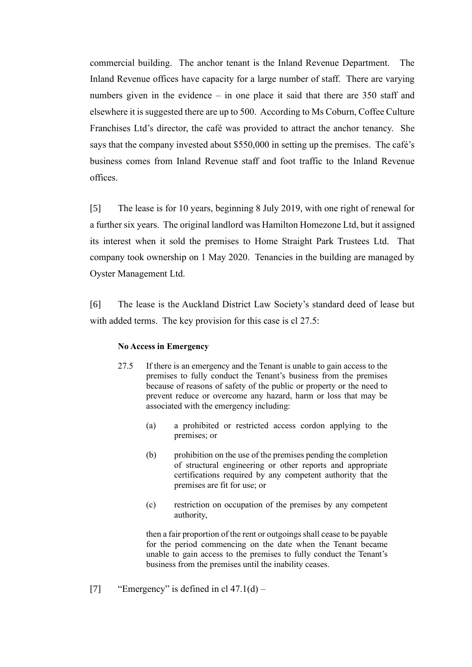commercial building. The anchor tenant is the Inland Revenue Department. The Inland Revenue offices have capacity for a large number of staff. There are varying numbers given in the evidence – in one place it said that there are 350 staff and elsewhere it is suggested there are up to 500. According to Ms Coburn, Coffee Culture Franchises Ltd's director, the café was provided to attract the anchor tenancy. She says that the company invested about \$550,000 in setting up the premises. The café's business comes from Inland Revenue staff and foot traffic to the Inland Revenue offices.

[5] The lease is for 10 years, beginning 8 July 2019, with one right of renewal for a further six years. The original landlord was Hamilton Homezone Ltd, but it assigned its interest when it sold the premises to Home Straight Park Trustees Ltd. That company took ownership on 1 May 2020. Tenancies in the building are managed by Oyster Management Ltd.

[6] The lease is the Auckland District Law Society's standard deed of lease but with added terms. The key provision for this case is cl 27.5:

#### **No Access in Emergency**

- 27.5 If there is an emergency and the Tenant is unable to gain access to the premises to fully conduct the Tenant's business from the premises because of reasons of safety of the public or property or the need to prevent reduce or overcome any hazard, harm or loss that may be associated with the emergency including:
	- (a) a prohibited or restricted access cordon applying to the premises; or
	- (b) prohibition on the use of the premises pending the completion of structural engineering or other reports and appropriate certifications required by any competent authority that the premises are fit for use; or
	- (c) restriction on occupation of the premises by any competent authority,

then a fair proportion of the rent or outgoings shall cease to be payable for the period commencing on the date when the Tenant became unable to gain access to the premises to fully conduct the Tenant's business from the premises until the inability ceases.

[7] "Emergency" is defined in cl  $47.1(d)$  –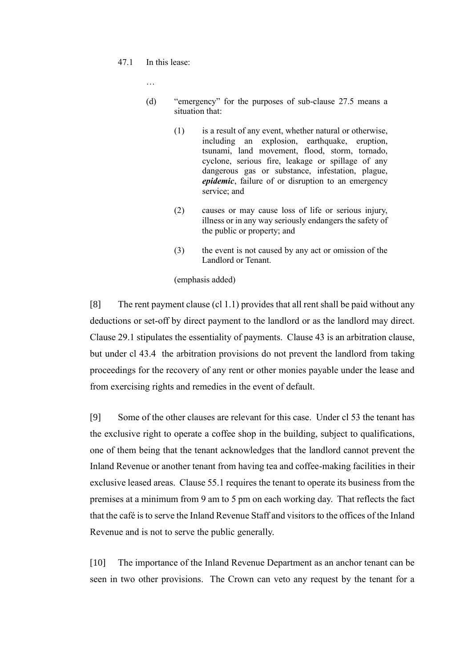47.1 In this lease:

…

- (d) "emergency" for the purposes of sub-clause 27.5 means a situation that:
	- (1) is a result of any event, whether natural or otherwise, including an explosion, earthquake, eruption, tsunami, land movement, flood, storm, tornado, cyclone, serious fire, leakage or spillage of any dangerous gas or substance, infestation, plague, *epidemic*, failure of or disruption to an emergency service; and
	- (2) causes or may cause loss of life or serious injury, illness or in any way seriously endangers the safety of the public or property; and
	- (3) the event is not caused by any act or omission of the Landlord or Tenant.

(emphasis added)

[8] The rent payment clause (cl 1.1) provides that all rent shall be paid without any deductions or set-off by direct payment to the landlord or as the landlord may direct. Clause 29.1 stipulates the essentiality of payments. Clause 43 is an arbitration clause, but under cl 43.4 the arbitration provisions do not prevent the landlord from taking proceedings for the recovery of any rent or other monies payable under the lease and from exercising rights and remedies in the event of default.

[9] Some of the other clauses are relevant for this case. Under cl 53 the tenant has the exclusive right to operate a coffee shop in the building, subject to qualifications, one of them being that the tenant acknowledges that the landlord cannot prevent the Inland Revenue or another tenant from having tea and coffee-making facilities in their exclusive leased areas. Clause 55.1 requires the tenant to operate its business from the premises at a minimum from 9 am to 5 pm on each working day. That reflects the fact that the café is to serve the Inland Revenue Staff and visitors to the offices of the Inland Revenue and is not to serve the public generally.

[10] The importance of the Inland Revenue Department as an anchor tenant can be seen in two other provisions. The Crown can veto any request by the tenant for a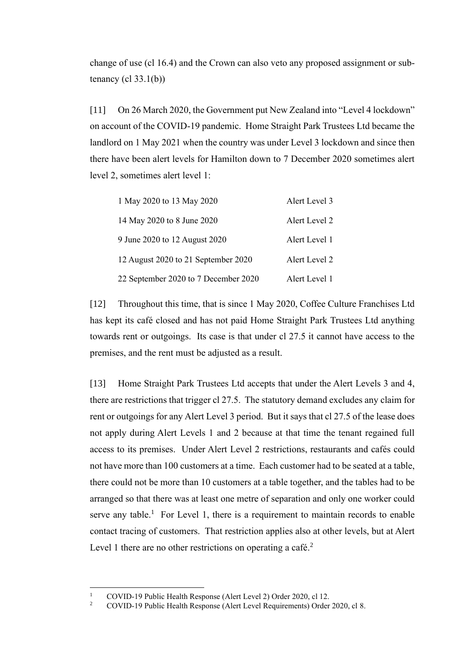change of use (cl 16.4) and the Crown can also veto any proposed assignment or subtenancy  $(cl 33.1(b))$ 

[11] On 26 March 2020, the Government put New Zealand into "Level 4 lockdown" on account of the COVID-19 pandemic. Home Straight Park Trustees Ltd became the landlord on 1 May 2021 when the country was under Level 3 lockdown and since then there have been alert levels for Hamilton down to 7 December 2020 sometimes alert level 2, sometimes alert level 1:

| 1 May 2020 to 13 May 2020            | Alert Level 3 |
|--------------------------------------|---------------|
| 14 May 2020 to 8 June 2020           | Alert Level 2 |
| 9 June 2020 to 12 August 2020        | Alert Level 1 |
| 12 August 2020 to 21 September 2020  | Alert Level 2 |
| 22 September 2020 to 7 December 2020 | Alert Level 1 |

[12] Throughout this time, that is since 1 May 2020, Coffee Culture Franchises Ltd has kept its café closed and has not paid Home Straight Park Trustees Ltd anything towards rent or outgoings. Its case is that under cl 27.5 it cannot have access to the premises, and the rent must be adjusted as a result.

[13] Home Straight Park Trustees Ltd accepts that under the Alert Levels 3 and 4, there are restrictions that trigger cl 27.5. The statutory demand excludes any claim for rent or outgoings for any Alert Level 3 period. But it says that cl 27.5 of the lease does not apply during Alert Levels 1 and 2 because at that time the tenant regained full access to its premises. Under Alert Level 2 restrictions, restaurants and cafés could not have more than 100 customers at a time. Each customer had to be seated at a table, there could not be more than 10 customers at a table together, and the tables had to be arranged so that there was at least one metre of separation and only one worker could serve any table.<sup>1</sup> For Level 1, there is a requirement to maintain records to enable contact tracing of customers. That restriction applies also at other levels, but at Alert Level 1 there are no other restrictions on operating a café.<sup>2</sup>

<sup>&</sup>lt;sup>1</sup> COVID-19 Public Health Response (Alert Level 2) Order 2020, cl 12.<br><sup>2</sup> COVID-19 Public Health Response (Alert Lavel Requirements) Order

<sup>2</sup> COVID-19 Public Health Response (Alert Level Requirements) Order 2020, cl 8.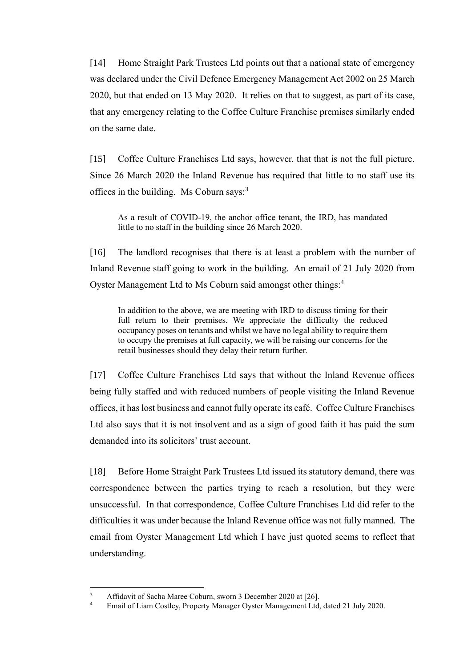[14] Home Straight Park Trustees Ltd points out that a national state of emergency was declared under the Civil Defence Emergency Management Act 2002 on 25 March 2020, but that ended on 13 May 2020. It relies on that to suggest, as part of its case, that any emergency relating to the Coffee Culture Franchise premises similarly ended on the same date.

[15] Coffee Culture Franchises Ltd says, however, that that is not the full picture. Since 26 March 2020 the Inland Revenue has required that little to no staff use its offices in the building. Ms Coburn says:<sup>3</sup>

As a result of COVID-19, the anchor office tenant, the IRD, has mandated little to no staff in the building since 26 March 2020.

[16] The landlord recognises that there is at least a problem with the number of Inland Revenue staff going to work in the building. An email of 21 July 2020 from Oyster Management Ltd to Ms Coburn said amongst other things:<sup>4</sup>

In addition to the above, we are meeting with IRD to discuss timing for their full return to their premises. We appreciate the difficulty the reduced occupancy poses on tenants and whilst we have no legal ability to require them to occupy the premises at full capacity, we will be raising our concerns for the retail businesses should they delay their return further.

[17] Coffee Culture Franchises Ltd says that without the Inland Revenue offices being fully staffed and with reduced numbers of people visiting the Inland Revenue offices, it has lost business and cannot fully operate its café. Coffee Culture Franchises Ltd also says that it is not insolvent and as a sign of good faith it has paid the sum demanded into its solicitors' trust account.

[18] Before Home Straight Park Trustees Ltd issued its statutory demand, there was correspondence between the parties trying to reach a resolution, but they were unsuccessful. In that correspondence, Coffee Culture Franchises Ltd did refer to the difficulties it was under because the Inland Revenue office was not fully manned. The email from Oyster Management Ltd which I have just quoted seems to reflect that understanding.

<sup>&</sup>lt;sup>3</sup><br>Affidavit of Sacha Maree Coburn, sworn 3 December 2020 at [26].<br><sup>4</sup> Email of Liam Costlay, Property Management Denograment Ltd.

Email of Liam Costley, Property Manager Oyster Management Ltd, dated 21 July 2020.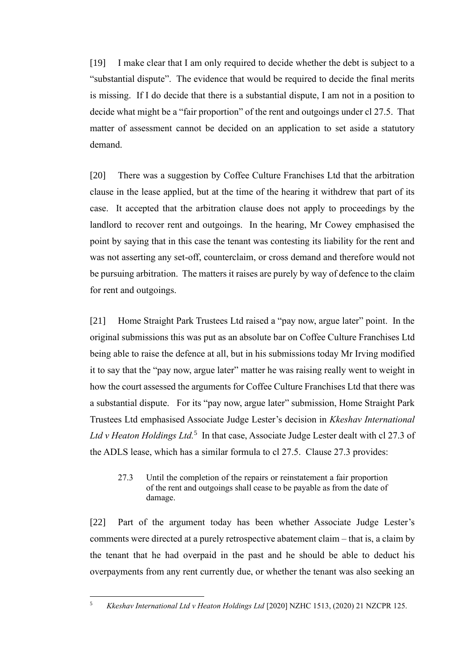[19] I make clear that I am only required to decide whether the debt is subject to a "substantial dispute". The evidence that would be required to decide the final merits is missing. If I do decide that there is a substantial dispute, I am not in a position to decide what might be a "fair proportion" of the rent and outgoings under cl 27.5. That matter of assessment cannot be decided on an application to set aside a statutory demand.

[20] There was a suggestion by Coffee Culture Franchises Ltd that the arbitration clause in the lease applied, but at the time of the hearing it withdrew that part of its case. It accepted that the arbitration clause does not apply to proceedings by the landlord to recover rent and outgoings. In the hearing, Mr Cowey emphasised the point by saying that in this case the tenant was contesting its liability for the rent and was not asserting any set-off, counterclaim, or cross demand and therefore would not be pursuing arbitration. The matters it raises are purely by way of defence to the claim for rent and outgoings.

[21] Home Straight Park Trustees Ltd raised a "pay now, argue later" point. In the original submissions this was put as an absolute bar on Coffee Culture Franchises Ltd being able to raise the defence at all, but in his submissions today Mr Irving modified it to say that the "pay now, argue later" matter he was raising really went to weight in how the court assessed the arguments for Coffee Culture Franchises Ltd that there was a substantial dispute. For its "pay now, argue later" submission, Home Straight Park Trustees Ltd emphasised Associate Judge Lester's decision in *Kkeshav International*  Ltd v Heaton Holdings Ltd.<sup>5</sup> In that case, Associate Judge Lester dealt with cl 27.3 of the ADLS lease, which has a similar formula to cl 27.5. Clause 27.3 provides:

## 27.3 Until the completion of the repairs or reinstatement a fair proportion of the rent and outgoings shall cease to be payable as from the date of damage.

[22] Part of the argument today has been whether Associate Judge Lester's comments were directed at a purely retrospective abatement claim – that is, a claim by the tenant that he had overpaid in the past and he should be able to deduct his overpayments from any rent currently due, or whether the tenant was also seeking an

<sup>5</sup> *Kkeshav International Ltd v Heaton Holdings Ltd* [2020] NZHC 1513, (2020) 21 NZCPR 125.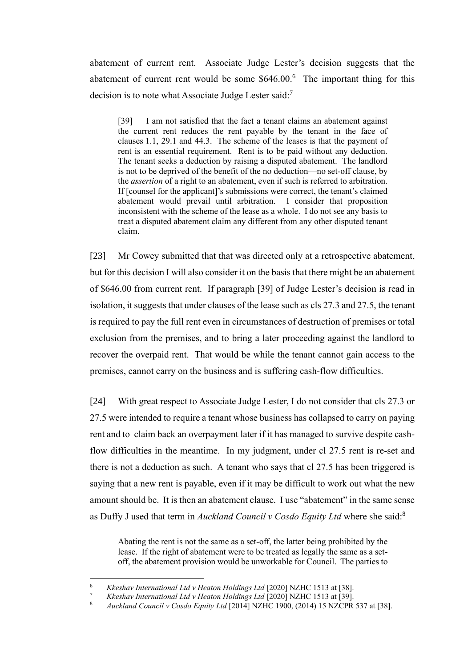abatement of current rent. Associate Judge Lester's decision suggests that the abatement of current rent would be some  $$646.00<sup>6</sup>$  The important thing for this decision is to note what Associate Judge Lester said:<sup>7</sup>

[39] I am not satisfied that the fact a tenant claims an abatement against the current rent reduces the rent payable by the tenant in the face of clauses 1.1, 29.1 and 44.3. The scheme of the leases is that the payment of rent is an essential requirement. Rent is to be paid without any deduction. The tenant seeks a deduction by raising a disputed abatement. The landlord is not to be deprived of the benefit of the no deduction—no set-off clause, by the *assertion* of a right to an abatement, even if such is referred to arbitration. If [counsel for the applicant]'s submissions were correct, the tenant's claimed abatement would prevail until arbitration. I consider that proposition inconsistent with the scheme of the lease as a whole. I do not see any basis to treat a disputed abatement claim any different from any other disputed tenant claim.

[23] Mr Cowey submitted that that was directed only at a retrospective abatement, but for this decision I will also consider it on the basis that there might be an abatement of \$646.00 from current rent. If paragraph [39] of Judge Lester's decision is read in isolation, it suggests that under clauses of the lease such as cls 27.3 and 27.5, the tenant is required to pay the full rent even in circumstances of destruction of premises or total exclusion from the premises, and to bring a later proceeding against the landlord to recover the overpaid rent. That would be while the tenant cannot gain access to the premises, cannot carry on the business and is suffering cash-flow difficulties.

[24] With great respect to Associate Judge Lester, I do not consider that cls 27.3 or 27.5 were intended to require a tenant whose business has collapsed to carry on paying rent and to claim back an overpayment later if it has managed to survive despite cashflow difficulties in the meantime. In my judgment, under cl 27.5 rent is re-set and there is not a deduction as such. A tenant who says that cl 27.5 has been triggered is saying that a new rent is payable, even if it may be difficult to work out what the new amount should be. It is then an abatement clause. I use "abatement" in the same sense as Duffy J used that term in *Auckland Council v Cosdo Equity Ltd* where she said:<sup>8</sup>

Abating the rent is not the same as a set-off, the latter being prohibited by the lease. If the right of abatement were to be treated as legally the same as a setoff, the abatement provision would be unworkable for Council. The parties to

<sup>6</sup> *Kkeshav International Ltd v Heaton Holdings Ltd* [2020] NZHC 1513 at [38].

<sup>7</sup> *Kkeshav International Ltd v Heaton Holdings Ltd* [2020] NZHC 1513 at [39].

<sup>8</sup> *Auckland Council v Cosdo Equity Ltd* [2014] NZHC 1900, (2014) 15 NZCPR 537 at [38].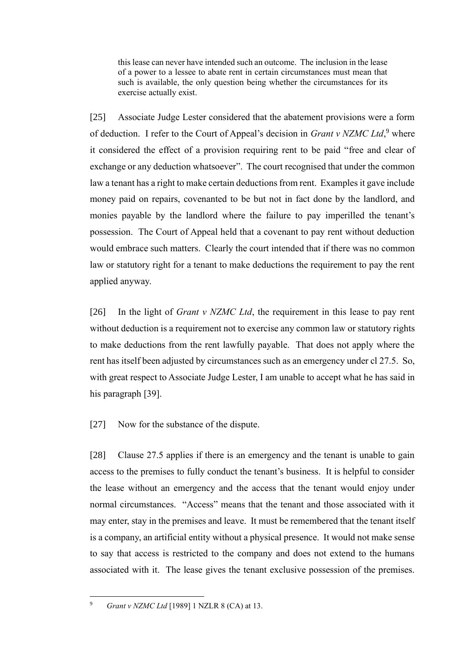this lease can never have intended such an outcome. The inclusion in the lease of a power to a lessee to abate rent in certain circumstances must mean that such is available, the only question being whether the circumstances for its exercise actually exist.

[25] Associate Judge Lester considered that the abatement provisions were a form of deduction. I refer to the Court of Appeal's decision in *Grant v NZMC Ltd*,<sup>9</sup> where it considered the effect of a provision requiring rent to be paid "free and clear of exchange or any deduction whatsoever". The court recognised that under the common law a tenant has a right to make certain deductions from rent. Examples it gave include money paid on repairs, covenanted to be but not in fact done by the landlord, and monies payable by the landlord where the failure to pay imperilled the tenant's possession. The Court of Appeal held that a covenant to pay rent without deduction would embrace such matters. Clearly the court intended that if there was no common law or statutory right for a tenant to make deductions the requirement to pay the rent applied anyway.

[26] In the light of *Grant v NZMC Ltd*, the requirement in this lease to pay rent without deduction is a requirement not to exercise any common law or statutory rights to make deductions from the rent lawfully payable. That does not apply where the rent has itself been adjusted by circumstances such as an emergency under cl 27.5. So, with great respect to Associate Judge Lester, I am unable to accept what he has said in his paragraph [39].

[27] Now for the substance of the dispute.

[28] Clause 27.5 applies if there is an emergency and the tenant is unable to gain access to the premises to fully conduct the tenant's business. It is helpful to consider the lease without an emergency and the access that the tenant would enjoy under normal circumstances. "Access" means that the tenant and those associated with it may enter, stay in the premises and leave. It must be remembered that the tenant itself is a company, an artificial entity without a physical presence. It would not make sense to say that access is restricted to the company and does not extend to the humans associated with it. The lease gives the tenant exclusive possession of the premises.

<sup>9</sup> *Grant v NZMC Ltd* [1989] 1 NZLR 8 (CA) at 13.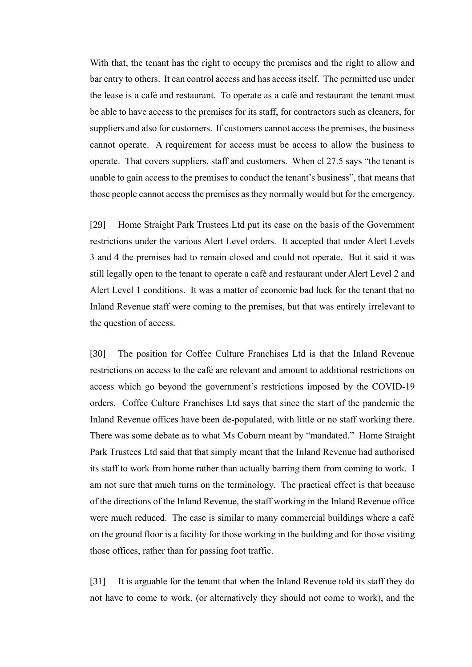With that, the tenant has the right to occupy the premises and the right to allow and bar entry to others. It can control access and has access itself. The permitted use under the lease is a café and restaurant. To operate as a café and restaurant the tenant must be able to have access to the premises for its staff, for contractors such as cleaners, for suppliers and also for customers. If customers cannot access the premises, the business cannot operate. A requirement for access must be access to allow the business to operate. That covers suppliers, staff and customers. When cl 27.5 says "the tenant is unable to gain access to the premises to conduct the tenant's business", that means that those people cannot access the premises as they normally would but for the emergency.

[29] Home Straight Park Trustees Ltd put its case on the basis of the Government restrictions under the various Alert Level orders. It accepted that under Alert Levels 3 and 4 the premises had to remain closed and could not operate. But it said it was still legally open to the tenant to operate a café and restaurant under Alert Level 2 and Alert Level 1 conditions. It was a matter of economic bad luck for the tenant that no Inland Revenue staff were coming to the premises, but that was entirely irrelevant to the question of access.

[30] The position for Coffee Culture Franchises Ltd is that the Inland Revenue restrictions on access to the café are relevant and amount to additional restrictions on access which go beyond the government's restrictions imposed by the COVID-19 orders. Coffee Culture Franchises Ltd says that since the start of the pandemic the Inland Revenue offices have been de-populated, with little or no staff working there. There was some debate as to what Ms Coburn meant by "mandated." Home Straight Park Trustees Ltd said that that simply meant that the Inland Revenue had authorised its staff to work from home rather than actually barring them from coming to work. I am not sure that much turns on the terminology. The practical effect is that because of the directions of the Inland Revenue, the staff working in the Inland Revenue office were much reduced. The case is similar to many commercial buildings where a café on the ground floor is a facility for those working in the building and for those visiting those offices, rather than for passing foot traffic.

[31] It is arguable for the tenant that when the Inland Revenue told its staff they do not have to come to work, (or alternatively they should not come to work), and the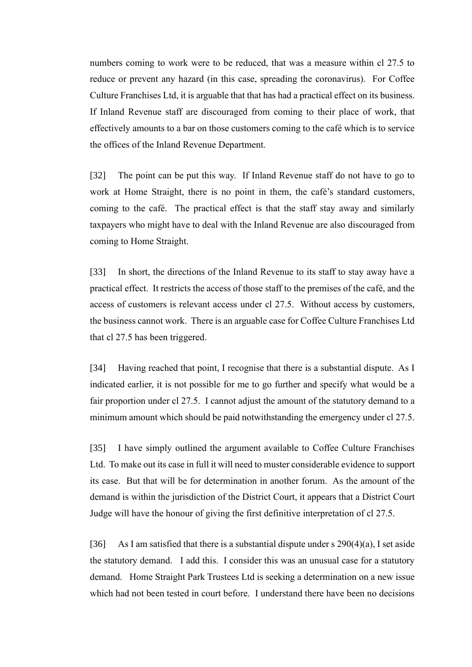numbers coming to work were to be reduced, that was a measure within cl 27.5 to reduce or prevent any hazard (in this case, spreading the coronavirus). For Coffee Culture Franchises Ltd, it is arguable that that has had a practical effect on its business. If Inland Revenue staff are discouraged from coming to their place of work, that effectively amounts to a bar on those customers coming to the café which is to service the offices of the Inland Revenue Department.

[32] The point can be put this way. If Inland Revenue staff do not have to go to work at Home Straight, there is no point in them, the café's standard customers, coming to the café. The practical effect is that the staff stay away and similarly taxpayers who might have to deal with the Inland Revenue are also discouraged from coming to Home Straight.

[33] In short, the directions of the Inland Revenue to its staff to stay away have a practical effect. It restricts the access of those staff to the premises of the café, and the access of customers is relevant access under cl 27.5. Without access by customers, the business cannot work. There is an arguable case for Coffee Culture Franchises Ltd that cl 27.5 has been triggered.

[34] Having reached that point, I recognise that there is a substantial dispute. As I indicated earlier, it is not possible for me to go further and specify what would be a fair proportion under cl 27.5. I cannot adjust the amount of the statutory demand to a minimum amount which should be paid notwithstanding the emergency under cl 27.5.

[35] I have simply outlined the argument available to Coffee Culture Franchises Ltd. To make out its case in full it will need to muster considerable evidence to support its case. But that will be for determination in another forum. As the amount of the demand is within the jurisdiction of the District Court, it appears that a District Court Judge will have the honour of giving the first definitive interpretation of cl 27.5.

[36] As I am satisfied that there is a substantial dispute under s  $290(4)(a)$ , I set aside the statutory demand. I add this. I consider this was an unusual case for a statutory demand. Home Straight Park Trustees Ltd is seeking a determination on a new issue which had not been tested in court before. I understand there have been no decisions